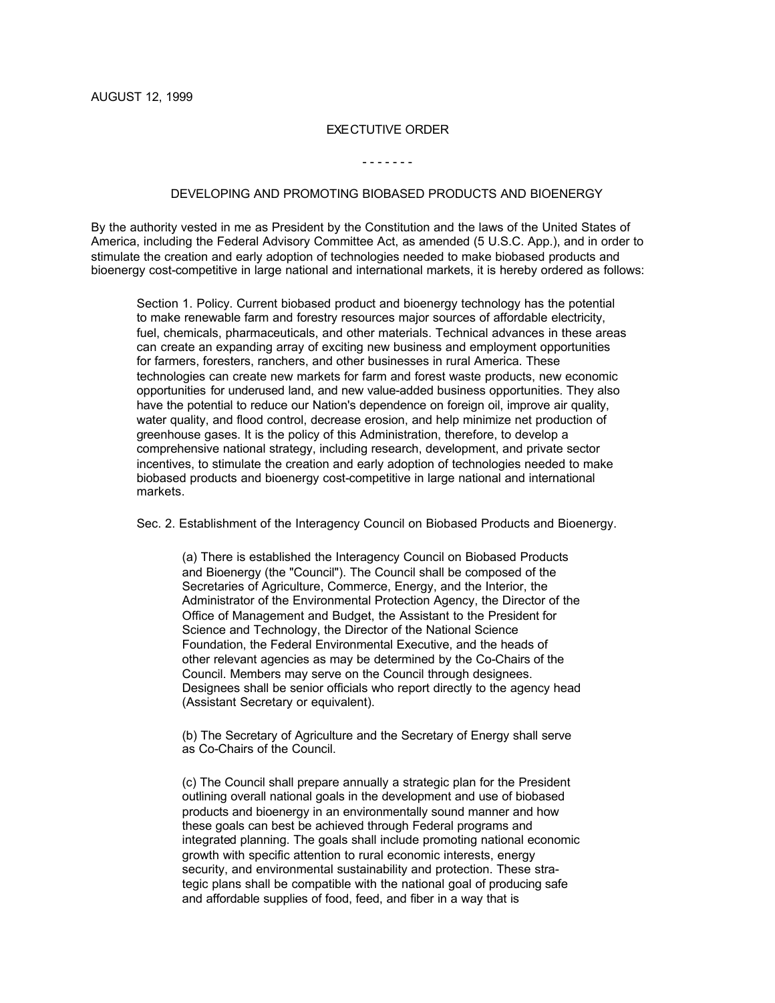## EXECTUTIVE ORDER

## - - - - - - -

## DEVELOPING AND PROMOTING BIOBASED PRODUCTS AND BIOENERGY

By the authority vested in me as President by the Constitution and the laws of the United States of America, including the Federal Advisory Committee Act, as amended (5 U.S.C. App.), and in order to stimulate the creation and early adoption of technologies needed to make biobased products and bioenergy cost-competitive in large national and international markets, it is hereby ordered as follows:

Section 1. Policy. Current biobased product and bioenergy technology has the potential to make renewable farm and forestry resources major sources of affordable electricity, fuel, chemicals, pharmaceuticals, and other materials. Technical advances in these areas can create an expanding array of exciting new business and employment opportunities for farmers, foresters, ranchers, and other businesses in rural America. These technologies can create new markets for farm and forest waste products, new economic opportunities for underused land, and new value-added business opportunities. They also have the potential to reduce our Nation's dependence on foreign oil, improve air quality, water quality, and flood control, decrease erosion, and help minimize net production of greenhouse gases. It is the policy of this Administration, therefore, to develop a comprehensive national strategy, including research, development, and private sector incentives, to stimulate the creation and early adoption of technologies needed to make biobased products and bioenergy cost-competitive in large national and international markets.

Sec. 2. Establishment of the Interagency Council on Biobased Products and Bioenergy.

(a) There is established the Interagency Council on Biobased Products and Bioenergy (the "Council"). The Council shall be composed of the Secretaries of Agriculture, Commerce, Energy, and the Interior, the Administrator of the Environmental Protection Agency, the Director of the Office of Management and Budget, the Assistant to the President for Science and Technology, the Director of the National Science Foundation, the Federal Environmental Executive, and the heads of other relevant agencies as may be determined by the Co-Chairs of the Council. Members may serve on the Council through designees. Designees shall be senior officials who report directly to the agency head (Assistant Secretary or equivalent).

(b) The Secretary of Agriculture and the Secretary of Energy shall serve as Co-Chairs of the Council.

(c) The Council shall prepare annually a strategic plan for the President outlining overall national goals in the development and use of biobased products and bioenergy in an environmentally sound manner and how these goals can best be achieved through Federal programs and integrated planning. The goals shall include promoting national economic growth with specific attention to rural economic interests, energy security, and environmental sustainability and protection. These strategic plans shall be compatible with the national goal of producing safe and affordable supplies of food, feed, and fiber in a way that is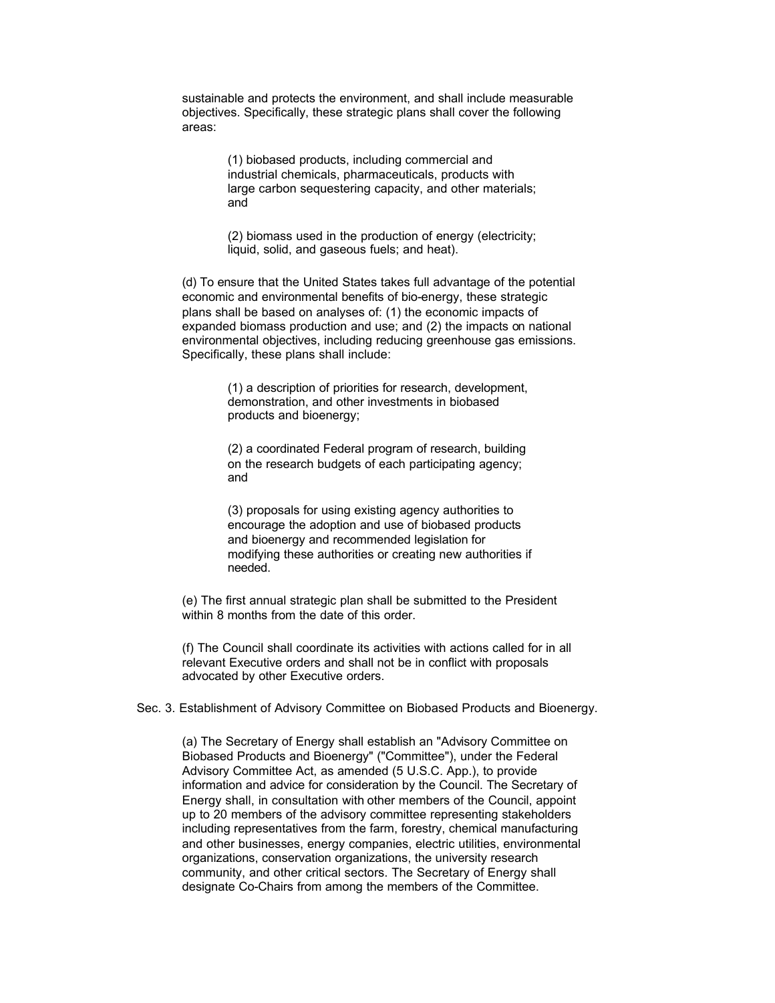sustainable and protects the environment, and shall include measurable objectives. Specifically, these strategic plans shall cover the following areas:

> (1) biobased products, including commercial and industrial chemicals, pharmaceuticals, products with large carbon sequestering capacity, and other materials; and

> (2) biomass used in the production of energy (electricity; liquid, solid, and gaseous fuels; and heat).

(d) To ensure that the United States takes full advantage of the potential economic and environmental benefits of bio-energy, these strategic plans shall be based on analyses of: (1) the economic impacts of expanded biomass production and use; and (2) the impacts on national environmental objectives, including reducing greenhouse gas emissions. Specifically, these plans shall include:

> (1) a description of priorities for research, development, demonstration, and other investments in biobased products and bioenergy;

> (2) a coordinated Federal program of research, building on the research budgets of each participating agency; and

(3) proposals for using existing agency authorities to encourage the adoption and use of biobased products and bioenergy and recommended legislation for modifying these authorities or creating new authorities if needed.

(e) The first annual strategic plan shall be submitted to the President within 8 months from the date of this order.

(f) The Council shall coordinate its activities with actions called for in all relevant Executive orders and shall not be in conflict with proposals advocated by other Executive orders.

Sec. 3. Establishment of Advisory Committee on Biobased Products and Bioenergy.

(a) The Secretary of Energy shall establish an "Advisory Committee on Biobased Products and Bioenergy" ("Committee"), under the Federal Advisory Committee Act, as amended (5 U.S.C. App.), to provide information and advice for consideration by the Council. The Secretary of Energy shall, in consultation with other members of the Council, appoint up to 20 members of the advisory committee representing stakeholders including representatives from the farm, forestry, chemical manufacturing and other businesses, energy companies, electric utilities, environmental organizations, conservation organizations, the university research community, and other critical sectors. The Secretary of Energy shall designate Co-Chairs from among the members of the Committee.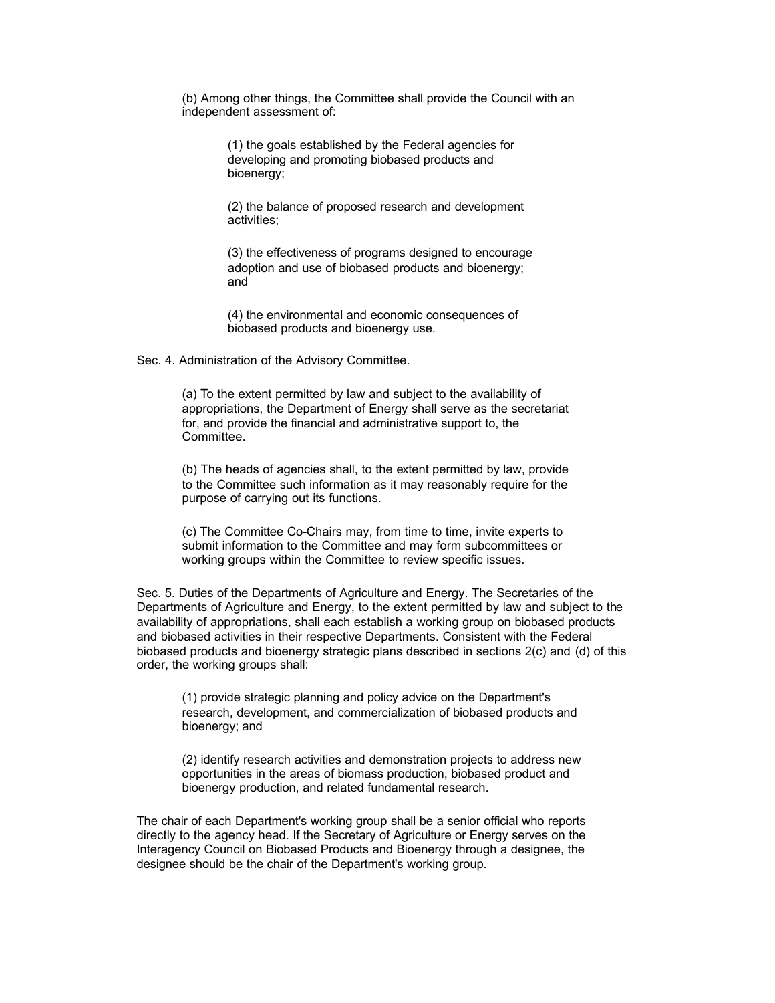(b) Among other things, the Committee shall provide the Council with an independent assessment of:

> (1) the goals established by the Federal agencies for developing and promoting biobased products and bioenergy;

(2) the balance of proposed research and development activities;

(3) the effectiveness of programs designed to encourage adoption and use of biobased products and bioenergy; and

(4) the environmental and economic consequences of biobased products and bioenergy use.

Sec. 4. Administration of the Advisory Committee.

(a) To the extent permitted by law and subject to the availability of appropriations, the Department of Energy shall serve as the secretariat for, and provide the financial and administrative support to, the Committee.

(b) The heads of agencies shall, to the extent permitted by law, provide to the Committee such information as it may reasonably require for the purpose of carrying out its functions.

(c) The Committee Co-Chairs may, from time to time, invite experts to submit information to the Committee and may form subcommittees or working groups within the Committee to review specific issues.

Sec. 5. Duties of the Departments of Agriculture and Energy. The Secretaries of the Departments of Agriculture and Energy, to the extent permitted by law and subject to the availability of appropriations, shall each establish a working group on biobased products and biobased activities in their respective Departments. Consistent with the Federal biobased products and bioenergy strategic plans described in sections 2(c) and (d) of this order, the working groups shall:

(1) provide strategic planning and policy advice on the Department's research, development, and commercialization of biobased products and bioenergy; and

(2) identify research activities and demonstration projects to address new opportunities in the areas of biomass production, biobased product and bioenergy production, and related fundamental research.

The chair of each Department's working group shall be a senior official who reports directly to the agency head. If the Secretary of Agriculture or Energy serves on the Interagency Council on Biobased Products and Bioenergy through a designee, the designee should be the chair of the Department's working group.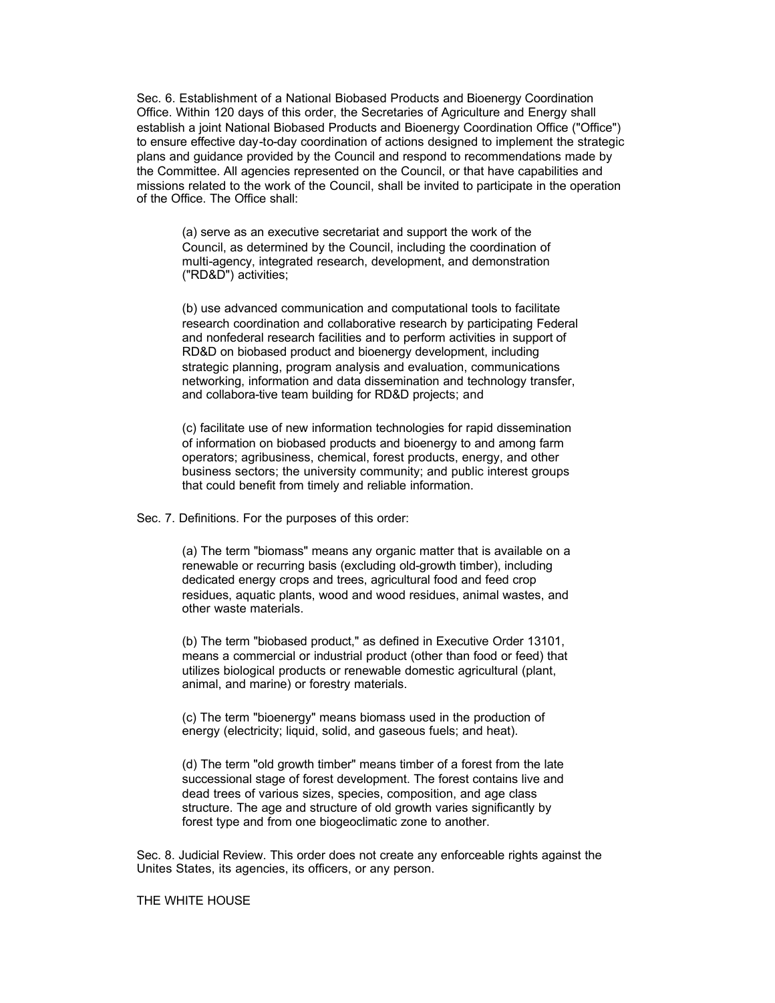Sec. 6. Establishment of a National Biobased Products and Bioenergy Coordination Office. Within 120 days of this order, the Secretaries of Agriculture and Energy shall establish a joint National Biobased Products and Bioenergy Coordination Office ("Office") to ensure effective day-to-day coordination of actions designed to implement the strategic plans and guidance provided by the Council and respond to recommendations made by the Committee. All agencies represented on the Council, or that have capabilities and missions related to the work of the Council, shall be invited to participate in the operation of the Office. The Office shall:

(a) serve as an executive secretariat and support the work of the Council, as determined by the Council, including the coordination of multi-agency, integrated research, development, and demonstration ("RD&D") activities;

(b) use advanced communication and computational tools to facilitate research coordination and collaborative research by participating Federal and nonfederal research facilities and to perform activities in support of RD&D on biobased product and bioenergy development, including strategic planning, program analysis and evaluation, communications networking, information and data dissemination and technology transfer, and collabora-tive team building for RD&D projects; and

(c) facilitate use of new information technologies for rapid dissemination of information on biobased products and bioenergy to and among farm operators; agribusiness, chemical, forest products, energy, and other business sectors; the university community; and public interest groups that could benefit from timely and reliable information.

Sec. 7. Definitions. For the purposes of this order:

(a) The term "biomass" means any organic matter that is available on a renewable or recurring basis (excluding old-growth timber), including dedicated energy crops and trees, agricultural food and feed crop residues, aquatic plants, wood and wood residues, animal wastes, and other waste materials.

(b) The term "biobased product," as defined in Executive Order 13101, means a commercial or industrial product (other than food or feed) that utilizes biological products or renewable domestic agricultural (plant, animal, and marine) or forestry materials.

(c) The term "bioenergy" means biomass used in the production of energy (electricity; liquid, solid, and gaseous fuels; and heat).

(d) The term "old growth timber" means timber of a forest from the late successional stage of forest development. The forest contains live and dead trees of various sizes, species, composition, and age class structure. The age and structure of old growth varies significantly by forest type and from one biogeoclimatic zone to another.

Sec. 8. Judicial Review. This order does not create any enforceable rights against the Unites States, its agencies, its officers, or any person.

## THE WHITE HOUSE